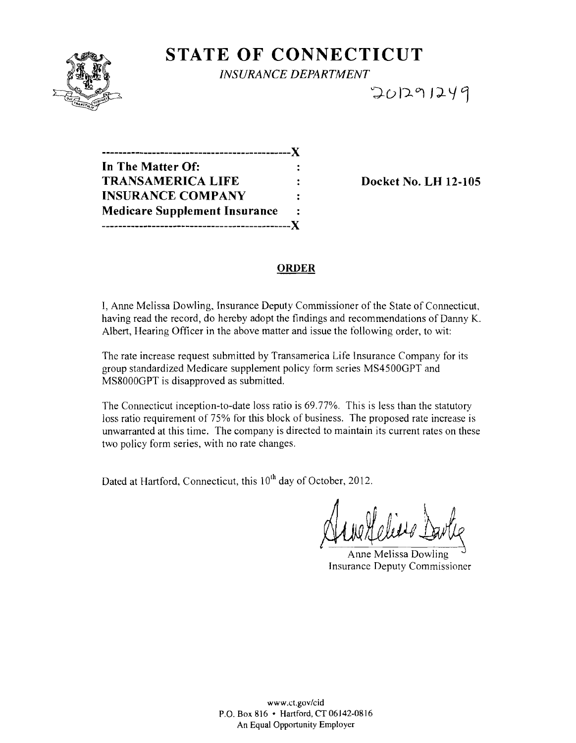

STATE OF CONNECTICUT

*INSURANCE DEPARTMENT* 

 $701291249$ 

| In The Matter Of:                    |  |
|--------------------------------------|--|
| <b>TRANSAMERICA LIFE</b>             |  |
| <b>INSURANCE COMPANY</b>             |  |
| <b>Medicare Supplement Insurance</b> |  |
|                                      |  |

Docket No. LH 12-105

## ORDER

I, Anne Melissa Dowling, Insurance Deputy Commissioner of the State of Connecticut, having read the record, do hereby adopt the findings and recommendations of Danny K. Albert, Hearing Officer in the above matter and issue the following order, to wit:

The rate increase request submitted by Transamerica Life Insurance Company for its group standardized Medicare supplement policy form series MS4500GPT and MS8000GPT is disapproved as submitted.

The Connecticut inception-to-date loss ratio is 69.77%. This is less than the statutory loss ratio requirement of 75% for this block of business. The proposed rate increase is unwarranted at this time. The company is directed to maintain its current rates on these two policy form series, with no rate changes.

Dated at Hartford, Connecticut, this 10<sup>th</sup> day of October, 2012.

Anne Melissa Dowling Insurance Deputy Commissioner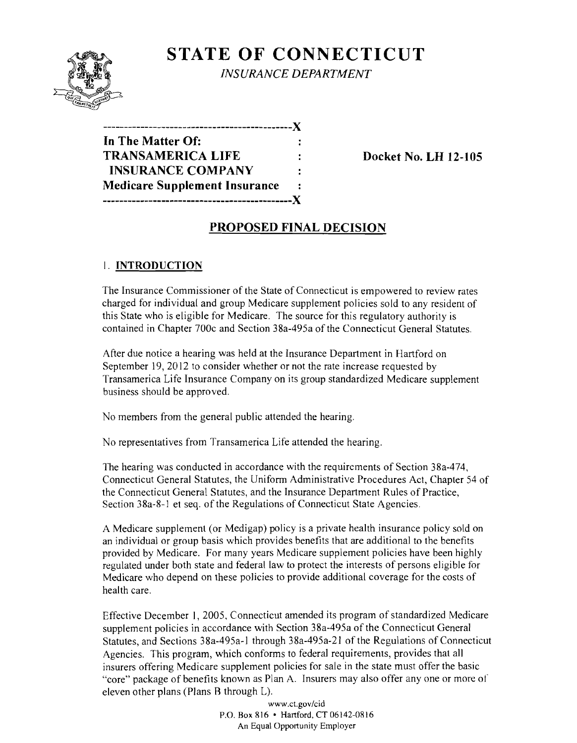

**STATE OF CONNECTICUT** 

*INSURANCE DEPARTMENT* 

| ---------------------------X         |                |
|--------------------------------------|----------------|
| In The Matter Of:                    |                |
| <b>TRANSAMERICA LIFE</b>             |                |
| <b>INSURANCE COMPANY</b>             |                |
| <b>Medicare Supplement Insurance</b> | $\ddot{\cdot}$ |
|                                      |                |

**Docket No. LH 12-105** 

# **PROPOSED FINAL DECISION**

# I. **INTRODUCTION**

The Insurance Commissioner of the State of Connecticut is empowered to review rates charged for individual and group Medicare supplement policies sold to any resident of this State who is eligible for Medicare. The source for this regulatory authority is contained in Chapter 700c and Section 38a-495a of the Connecticut General Statutes.

After due notice a hearing was held at the Insurance Department in Hartford on September 19, 2012 to consider whether or not the rate increase requested by Transamerica Life Insurance Company on its group standardized Medicare supplement business should be approved.

No members from the general public attended the hearing.

No representatives from Transamerica Life attended the hearing.

The hearing was conducted in accordance with the requirements of Section 38a-474, Connecticut General Statutes, the Unifonn Administrative Procedures Act, Chapter 54 of the Connecticut General Statutes, and the Insurance Department Rules of Practice, Section 38a-8-1 et seq. of the Regulations of Connecticut State Agencies.

A Medicare supplement (or Medigap) policy is a private health insurance policy sold on an individual or group basis which provides benefits that are additional to the benefits provided by Medicare. For many years Medicare supplement policies have been highly regulated under both state and federal law to protect the interests of persons eligible for Medicare who depend on these policies to provide additional coverage for the costs of health care.

Effective December I, 2005, Connecticut amended its program of standardized Medicare supplement policies in accordance with Section 38a-495a of the Connecticut General Statutes, and Sections 38a-495a-1 through 38a-495a-21 of the Regulations of Connecticut Agencies. This program, which conforms to federal requirements, provides that all insurers offering Medicare supplement policies for sale in the state must offer the basic "core" package of benefits known as Plan A. Insurers may also offer anyone or more of eleven other plans (Plans B through L).

> www.ct.gov/cid P.O. Box 816 • Hartford,CT06142-0816 An Equal Opportunity Employer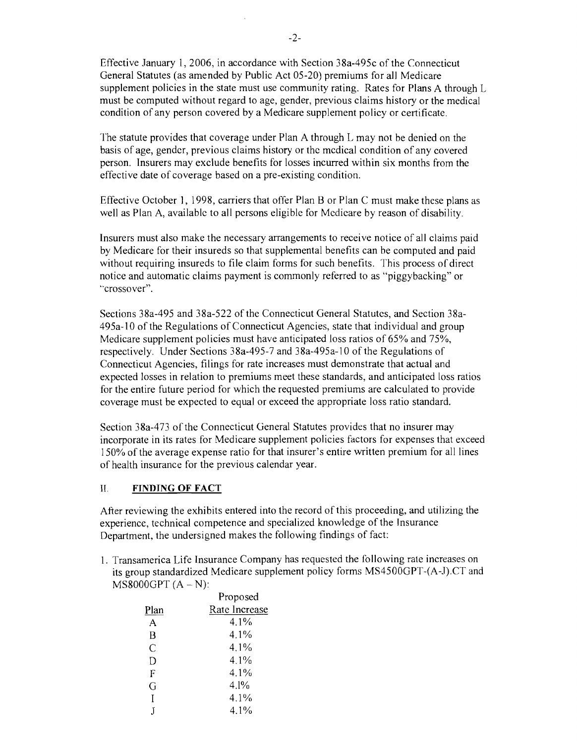Effective January 1,2006, in accordance with Section 38a-495c of the Connecticut General Statutes (as amended by Public Act 05-20) premiums for all Medicare supplement policies in the state must use community rating. Rates for Plans A through L must be computed without regard to age, gender, previous claims history or the medical condition of any person covered by a Medicare supplement policy or certificate.

The statute provides that coverage under Plan A through L may not be denied on the basis of age, gender, previous claims history or the mcdical condition of any covered person. Insurers may exclude benefits for losses incurred within six months from the effective date of coverage based on a pre-existing condition.

Effective October 1, 1998, carriers that offer Plan B or Plan C must make these plans as well as Plan A, available to all persons eligible for Medicare by reason of disability.

Insurers must also make the necessary arrangements to receive notice of all claims paid by Medicare for their insureds so that supplemental benefits can be computed and paid without requiring insureds to file claim forms for such benefits. This process of direct notice and automatic claims payment is commonly referred to as "piggybacking" or '"crossover".

Sections 38a-495 and 38a-522 of the Connecticut General Statutes, and Section 38a-495a-l0 of the Regulations of Connecticut Agencies, state that individual and group Medicare supplement policies must have anticipated loss ratios of 65% and 75%, respectively. Under Sections 38a-495-7 and 38a-495a-l 0 of the Regulations of Connecticut Agencies, filings for rate increases must demonstrate that actual and expected losses in relation to premiums meet these standards, and anticipated loss ratios for the entire future period for which the requested premiums are calculated to provide coverage must be expected to equal or exceed the appropriate loss ratio standard.

Section 38a-473 of the Connecticut General Statutes provides that no insurer may incorporate in its rates for Medicare supplement policies factors for expenses that exceed 150% of the average expense ratio for that insurer's entire written premium for all lines of health insurance for the previous calendar year.

### II. **FINDING OF FACT**

After reviewing the exhibits entered into the record of this proceeding, and utilizing the experience, technical competence and specialized knowledge of the Insurance Department, the undersigned makes the following findings of fact:

1. Transamerica Life Insurance Company has requested the following rate increases on its group standardized Medicare supplement policy forms MS4500GPT-(A-J).CT and  $MS8000GPT(A - N):$ 

|      | Proposed      |
|------|---------------|
| Plan | Rate Increase |
| A    | 4.1%          |
| B    | 4.1%          |
| C    | 4.1%          |
| D    | 4.1%          |
| F    | 4.1%          |
| G    | 4.1%          |
| I    | $4.1\%$       |
| ľ    | $4.1\%$       |
|      |               |